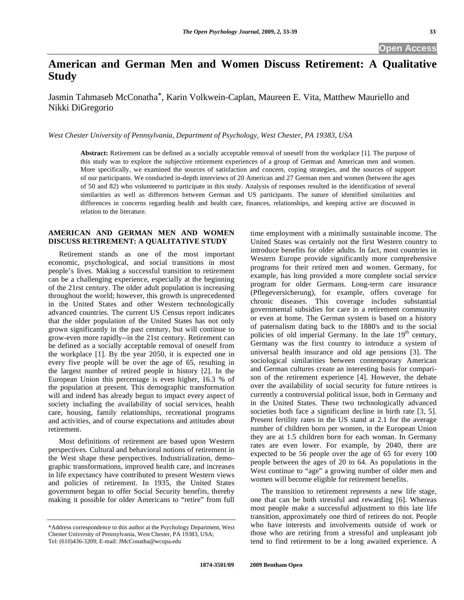# **American and German Men and Women Discuss Retirement: A Qualitative Study**

Jasmin Tahmaseb McConatha\*, Karin Volkwein-Caplan, Maureen E. Vita, Matthew Mauriello and Nikki DiGregorio

*West Chester University of Pennsylvania, Department of Psychology, West Chester, PA 19383, USA* 

**Abstract:** Retirement can be defined as a socially acceptable removal of oneself from the workplace [1]. The purpose of this study was to explore the subjective retirement experiences of a group of German and American men and women. More specifically, we examined the sources of satisfaction and concern, coping strategies, and the sources of support of our participants. We conducted in-depth interviews of 20 American and 27 German men and women (between the ages of 50 and 82) who volunteered to participate in this study. Analysis of responses resulted in the identification of several similarities as well as differences between German and US participants. The nature of identified similarities and differences in concerns regarding health and health care, finances, relationships, and keeping active are discussed in relation to the literature.

## **AMERICAN AND GERMAN MEN AND WOMEN DISCUSS RETIREMENT: A QUALITATIVE STUDY**

 Retirement stands as one of the most important economic, psychological, and social transitions in most people's lives. Making a successful transition to retirement can be a challenging experience, especially at the beginning of the 21rst century. The older adult population is increasing throughout the world; however, this growth is unprecedented in the United States and other Western technologically advanced countries. The current US Census report indicates that the older population of the United States has not only grown significantly in the past century, but will continue to grow-even more rapidly--in the 21st century. Retirement can be defined as a socially acceptable removal of oneself from the workplace [1]. By the year 2050, it is expected one in every five people will be over the age of 65, resulting in the largest number of retired people in history [2]. In the European Union this percentage is even higher, 16.3 % of the population at present. This demographic transformation will and indeed has already begun to impact every aspect of society including the availability of social services, health care, housing, family relationships, recreational programs and activities, and of course expectations and attitudes about retirement.

 Most definitions of retirement are based upon Western perspectives. Cultural and behavioral notions of retirement in the West shape these perspectives. Industrialization, demographic transformations, improved health care, and increases in life expectancy have contributed to present Western views and policies of retirement. In 1935, the United States government began to offer Social Security benefits, thereby making it possible for older Americans to "retire" from full

time employment with a minimally sustainable income. The United States was certainly not the first Western country to introduce benefits for older adults. In fact, most countries in Western Europe provide significantly more comprehensive programs for their retired men and women. Germany, for example, has long provided a more complete social service program for older Germans. Long-term care insurance (Pflegeversicherung), for example, offers coverage for chronic diseases. This coverage includes substantial governmental subsidies for care in a retirement community or even at home. The German system is based on a history of paternalism dating back to the 1880's and to the social policies of old imperial Germany. In the late  $19<sup>th</sup>$  century, Germany was the first country to introduce a system of universal health insurance and old age pensions [3]. The sociological similarities between contemporary American and German cultures create an interesting basis for comparison of the retirement experience [4]. However, the debate over the availability of social security for future retirees is currently a controversial political issue, both in Germany and in the United States. These two technologically advanced societies both face a significant decline in birth rate [3, 5]. Present fertility rates in the US stand at 2.1 for the average number of children born per women, in the European Union they are at 1.5 children born for each woman. In Germany rates are even lower. For example, by 2040, there are expected to be 56 people over the age of 65 for every 100 people between the ages of 20 to 64. As populations in the West continue to "age" a growing number of older men and women will become eligible for retirement benefits.

 The transition to retirement represents a new life stage, one that can be both stressful and rewarding [6]. Whereas most people make a successful adjustment to this late life transition, approximately one third of retirees do not. People who have interests and involvements outside of work or those who are retiring from a stressful and unpleasant job tend to find retirement to be a long awaited experience. A

<sup>\*</sup>Address correspondence to this author at the Psychology Department, West Chester University of Pennsylvania, West Chester, PA 19383, USA; Tel: (610)436-3209; E-mail: JMcConatha@wcupa.edu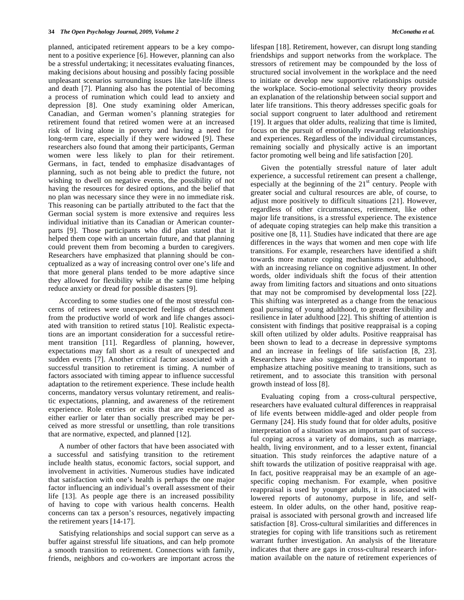planned, anticipated retirement appears to be a key component to a positive experience [6]. However, planning can also be a stressful undertaking; it necessitates evaluating finances, making decisions about housing and possibly facing possible unpleasant scenarios surrounding issues like late-life illness and death [7]. Planning also has the potential of becoming a process of rumination which could lead to anxiety and depression [8]. One study examining older American, Canadian, and German women's planning strategies for retirement found that retired women were at an increased risk of living alone in poverty and having a need for long-term care, especially if they were widowed [9]. These researchers also found that among their participants, German women were less likely to plan for their retirement. Germans, in fact, tended to emphasize disadvantages of planning, such as not being able to predict the future, not wishing to dwell on negative events, the possibility of not having the resources for desired options, and the belief that no plan was necessary since they were in no immediate risk. This reasoning can be partially attributed to the fact that the German social system is more extensive and requires less individual initiative than its Canadian or American counterparts [9]. Those participants who did plan stated that it helped them cope with an uncertain future, and that planning could prevent them from becoming a burden to caregivers. Researchers have emphasized that planning should be conceptualized as a way of increasing control over one's life and that more general plans tended to be more adaptive since they allowed for flexibility while at the same time helping reduce anxiety or dread for possible disasters [9].

 According to some studies one of the most stressful concerns of retirees were unexpected feelings of detachment from the productive world of work and life changes associated with transition to retired status [10]. Realistic expectations are an important consideration for a successful retirement transition [11]. Regardless of planning, however, expectations may fall short as a result of unexpected and sudden events [7]. Another critical factor associated with a successful transition to retirement is timing. A number of factors associated with timing appear to influence successful adaptation to the retirement experience. These include health concerns, mandatory versus voluntary retirement, and realistic expectations, planning, and awareness of the retirement experience. Role entries or exits that are experienced as either earlier or later than socially prescribed may be perceived as more stressful or unsettling, than role transitions that are normative, expected, and planned [12].

 A number of other factors that have been associated with a successful and satisfying transition to the retirement include health status, economic factors, social support, and involvement in activities. Numerous studies have indicated that satisfaction with one's health is perhaps the one major factor influencing an individual's overall assessment of their life [13]. As people age there is an increased possibility of having to cope with various health concerns. Health concerns can tax a person's resources, negatively impacting the retirement years [14-17].

 Satisfying relationships and social support can serve as a buffer against stressful life situations, and can help promote a smooth transition to retirement. Connections with family, friends, neighbors and co-workers are important across the lifespan [18]. Retirement, however, can disrupt long standing friendships and support networks from the workplace. The stressors of retirement may be compounded by the loss of structured social involvement in the workplace and the need to initiate or develop new supportive relationships outside the workplace. Socio-emotional selectivity theory provides an explanation of the relationship between social support and later life transitions. This theory addresses specific goals for social support congruent to later adulthood and retirement [19]. It argues that older adults, realizing that time is limited, focus on the pursuit of emotionally rewarding relationships and experiences. Regardless of the individual circumstances, remaining socially and physically active is an important factor promoting well being and life satisfaction [20].

 Given the potentially stressful nature of later adult experience, a successful retirement can present a challenge, especially at the beginning of the  $21<sup>st</sup>$  century. People with greater social and cultural resources are able, of course, to adjust more positively to difficult situations [21]. However, regardless of other circumstances, retirement, like other major life transitions, is a stressful experience. The existence of adequate coping strategies can help make this transition a positive one [8, 11]. Studies have indicated that there are age differences in the ways that women and men cope with life transitions. For example, researchers have identified a shift towards more mature coping mechanisms over adulthood, with an increasing reliance on cognitive adjustment. In other words, older individuals shift the focus of their attention away from limiting factors and situations and onto situations that may not be compromised by developmental loss [22]. This shifting was interpreted as a change from the tenacious goal pursuing of young adulthood, to greater flexibility and resilience in later adulthood [22]. This shifting of attention is consistent with findings that positive reappraisal is a coping skill often utilized by older adults. Positive reappraisal has been shown to lead to a decrease in depressive symptoms and an increase in feelings of life satisfaction [8, 23]. Researchers have also suggested that it is important to emphasize attaching positive meaning to transitions, such as retirement, and to associate this transition with personal growth instead of loss [8].

 Evaluating coping from a cross-cultural perspective, researchers have evaluated cultural differences in reappraisal of life events between middle-aged and older people from Germany [24]. His study found that for older adults, positive interpretation of a situation was an important part of successful coping across a variety of domains, such as marriage, health, living environment, and to a lesser extent, financial situation. This study reinforces the adaptive nature of a shift towards the utilization of positive reappraisal with age. In fact, positive reappraisal may be an example of an agespecific coping mechanism. For example, when positive reappraisal is used by younger adults, it is associated with lowered reports of autonomy, purpose in life, and selfesteem. In older adults, on the other hand, positive reappraisal is associated with personal growth and increased life satisfaction [8]. Cross-cultural similarities and differences in strategies for coping with life transitions such as retirement warrant further investigation. An analysis of the literature indicates that there are gaps in cross-cultural research information available on the nature of retirement experiences of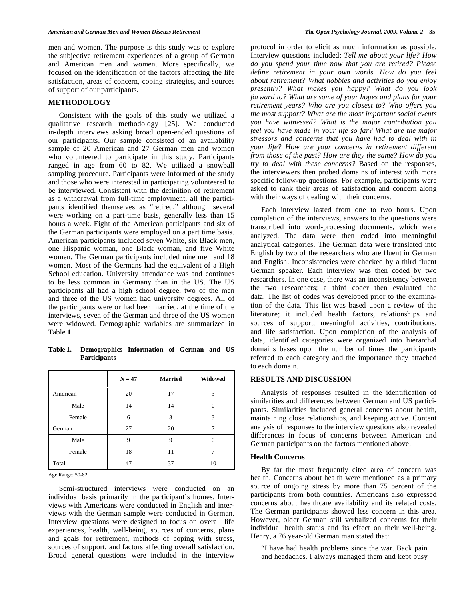men and women. The purpose is this study was to explore the subjective retirement experiences of a group of German and American men and women. More specifically, we focused on the identification of the factors affecting the life satisfaction, areas of concern, coping strategies, and sources of support of our participants.

### **METHODOLOGY**

 Consistent with the goals of this study we utilized a qualitative research methodology [25]. We conducted in-depth interviews asking broad open-ended questions of our participants. Our sample consisted of an availability sample of 20 American and 27 German men and women who volunteered to participate in this study. Participants ranged in age from 60 to 82. We utilized a snowball sampling procedure. Participants were informed of the study and those who were interested in participating volunteered to be interviewed. Consistent with the definition of retirement as a withdrawal from full-time employment, all the participants identified themselves as "retired," although several were working on a part-time basis, generally less than 15 hours a week. Eight of the American participants and six of the German participants were employed on a part time basis. American participants included seven White, six Black men, one Hispanic woman, one Black woman, and five White women. The German participants included nine men and 18 women. Most of the Germans had the equivalent of a High School education. University attendance was and continues to be less common in Germany than in the US. The US participants all had a high school degree, two of the men and three of the US women had university degrees. All of the participants were or had been married, at the time of the interviews, seven of the German and three of the US women were widowed. Demographic variables are summarized in Table **1**.

**Table 1. Demographics Information of German and US Participants** 

|          | $N = 47$ | <b>Married</b> | <b>Widowed</b> |
|----------|----------|----------------|----------------|
| American | 20       | 17             | 3              |
| Male     | 14       | 14             | 0              |
| Female   | 6        | 3              | 3              |
| German   | 27       | 20             | 7              |
| Male     | 9        | 9              | 0              |
| Female   | 18       | 11             |                |
| Total    | 47       | 37             | 10             |

Age Range: 50-82.

 Semi-structured interviews were conducted on an individual basis primarily in the participant's homes. Interviews with Americans were conducted in English and interviews with the German sample were conducted in German. Interview questions were designed to focus on overall life experiences, health, well-being, sources of concerns, plans and goals for retirement, methods of coping with stress, sources of support, and factors affecting overall satisfaction. Broad general questions were included in the interview

protocol in order to elicit as much information as possible. Interview questions included: *Tell me about your life? How do you spend your time now that you are retired? Please define retirement in your own words. How do you feel about retirement? What hobbies and activities do you enjoy presently? What makes you happy? What do you look forward to? What are some of your hopes and plans for your retirement years? Who are you closest to? Who offers you the most support? What are the most important social events you have witnessed? What is the major contribution you feel you have made in your life so far? What are the major stressors and concerns that you have had to deal with in your life? How are your concerns in retirement different from those of the past? How are they the same? How do you try to deal with these concerns?* Based on the responses, the interviewers then probed domains of interest with more specific follow-up questions. For example, participants were asked to rank their areas of satisfaction and concern along with their ways of dealing with their concerns.

 Each interview lasted from one to two hours. Upon completion of the interviews, answers to the questions were transcribed into word-processing documents, which were analyzed. The data were then coded into meaningful analytical categories. The German data were translated into English by two of the researchers who are fluent in German and English. Inconsistencies were checked by a third fluent German speaker. Each interview was then coded by two researchers. In one case, there was an inconsistency between the two researchers; a third coder then evaluated the data. The list of codes was developed prior to the examination of the data. This list was based upon a review of the literature; it included health factors, relationships and sources of support, meaningful activities, contributions, and life satisfaction. Upon completion of the analysis of data, identified categories were organized into hierarchal domains bases upon the number of times the participants referred to each category and the importance they attached to each domain.

## **RESULTS AND DISCUSSION**

 Analysis of responses resulted in the identification of similarities and differences between German and US participants. Similarities included general concerns about health, maintaining close relationships, and keeping active. Content analysis of responses to the interview questions also revealed differences in focus of concerns between American and German participants on the factors mentioned above.

#### **Health Concerns**

 By far the most frequently cited area of concern was health. Concerns about health were mentioned as a primary source of ongoing stress by more than 75 percent of the participants from both countries. Americans also expressed concerns about healthcare availability and its related costs. The German participants showed less concern in this area. However, older German still verbalized concerns for their individual health status and its effect on their well-being. Henry, a 76 year-old German man stated that:

 "I have had health problems since the war. Back pain and headaches. I always managed them and kept busy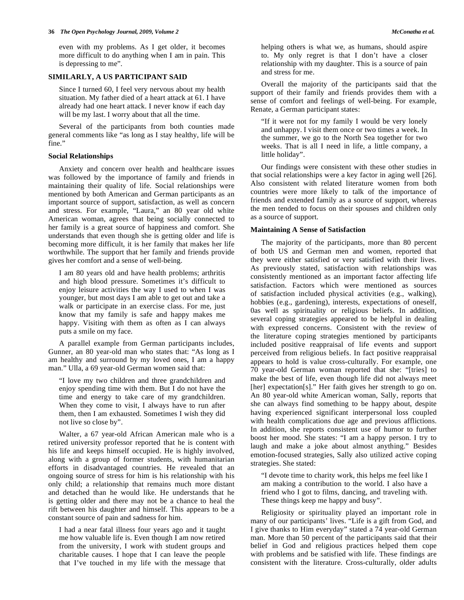even with my problems. As I get older, it becomes more difficult to do anything when I am in pain. This is depressing to me".

#### **SIMILARLY, A US PARTICIPANT SAID**

 Since I turned 60, I feel very nervous about my health situation. My father died of a heart attack at 61. I have already had one heart attack. I never know if each day will be my last. I worry about that all the time.

 Several of the participants from both counties made general comments like "as long as I stay healthy, life will be fine."

### **Social Relationships**

 Anxiety and concern over health and healthcare issues was followed by the importance of family and friends in maintaining their quality of life. Social relationships were mentioned by both American and German participants as an important source of support, satisfaction, as well as concern and stress. For example, "Laura," an 80 year old white American woman, agrees that being socially connected to her family is a great source of happiness and comfort. She understands that even though she is getting older and life is becoming more difficult, it is her family that makes her life worthwhile. The support that her family and friends provide gives her comfort and a sense of well-being.

 I am 80 years old and have health problems; arthritis and high blood pressure. Sometimes it's difficult to enjoy leisure activities the way I used to when I was younger, but most days I am able to get out and take a walk or participate in an exercise class. For me, just know that my family is safe and happy makes me happy. Visiting with them as often as I can always puts a smile on my face.

 A parallel example from German participants includes, Gunner, an 80 year-old man who states that: "As long as I am healthy and surround by my loved ones, I am a happy man." Ulla, a 69 year-old German women said that:

 "I love my two children and three grandchildren and enjoy spending time with them. But I do not have the time and energy to take care of my grandchildren. When they come to visit, I always have to run after them, then I am exhausted. Sometimes I wish they did not live so close by".

 Walter, a 67 year-old African American male who is a retired university professor reported that he is content with his life and keeps himself occupied. He is highly involved, along with a group of former students, with humanitarian efforts in disadvantaged countries. He revealed that an ongoing source of stress for him is his relationship with his only child; a relationship that remains much more distant and detached than he would like. He understands that he is getting older and there may not be a chance to heal the rift between his daughter and himself. This appears to be a constant source of pain and sadness for him.

 I had a near fatal illness four years ago and it taught me how valuable life is. Even though I am now retired from the university, I work with student groups and charitable causes. I hope that I can leave the people that I've touched in my life with the message that helping others is what we, as humans, should aspire to. My only regret is that I don't have a closer relationship with my daughter. This is a source of pain and stress for me.

 Overall the majority of the participants said that the support of their family and friends provides them with a sense of comfort and feelings of well-being. For example, Renate, a German participant states:

 "If it were not for my family I would be very lonely and unhappy. I visit them once or two times a week. In the summer, we go to the North Sea together for two weeks. That is all I need in life, a little company, a little holiday".

 Our findings were consistent with these other studies in that social relationships were a key factor in aging well [26]. Also consistent with related literature women from both countries were more likely to talk of the importance of friends and extended family as a source of support, whereas the men tended to focus on their spouses and children only as a source of support.

#### **Maintaining A Sense of Satisfaction**

 The majority of the participants, more than 80 percent of both US and German men and women, reported that they were either satisfied or very satisfied with their lives. As previously stated, satisfaction with relationships was consistently mentioned as an important factor affecting life satisfaction. Factors which were mentioned as sources of satisfaction included physical activities (e.g., walking), hobbies (e.g., gardening), interests, expectations of oneself, 0as well as spirituality or religious beliefs. In addition, several coping strategies appeared to be helpful in dealing with expressed concerns. Consistent with the review of the literature coping strategies mentioned by participants included positive reappraisal of life events and support perceived from religious beliefs. In fact positive reappraisal appears to hold is value cross-culturally. For example, one 70 year-old German woman reported that she: "[tries] to make the best of life, even though life did not always meet [her] expectation[s]." Her faith gives her strength to go on. An 80 year-old white American woman, Sally, reports that she can always find something to be happy about, despite having experienced significant interpersonal loss coupled with health complications due age and previous afflictions. In addition, she reports consistent use of humor to further boost her mood. She states: "I am a happy person. I try to laugh and make a joke about almost anything." Besides emotion-focused strategies, Sally also utilized active coping strategies. She stated:

 "I devote time to charity work, this helps me feel like I am making a contribution to the world. I also have a friend who I got to films, dancing, and traveling with. These things keep me happy and busy".

 Religiosity or spirituality played an important role in many of our participants' lives. "Life is a gift from God, and I give thanks to Him everyday" stated a 74 year-old German man. More than 50 percent of the participants said that their belief in God and religious practices helped them cope with problems and be satisfied with life. These findings are consistent with the literature. Cross-culturally, older adults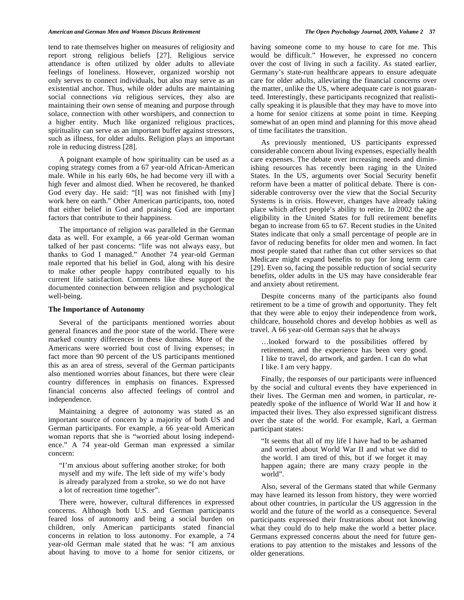tend to rate themselves higher on measures of religiosity and report strong religious beliefs [27]. Religious service attendance is often utilized by older adults to alleviate feelings of loneliness. However, organized worship not only serves to connect individuals, but also may serve as an existential anchor. Thus, while older adults are maintaining social connections *via* religious services, they also are maintaining their own sense of meaning and purpose through solace, connection with other worshipers, and connection to a higher entity. Much like organized religious practices, spirituality can serve as an important buffer against stressors, such as illness, for older adults. Religion plays an important role in reducing distress [28].

 A poignant example of how spirituality can be used as a coping strategy comes from a 67 year-old African-American male. While in his early 60s, he had become very ill with a high fever and almost died. When he recovered, he thanked God every day. He said: "[I] was not finished with [my] work here on earth." Other American participants, too, noted that either belief in God and praising God are important factors that contribute to their happiness.

 The importance of religion was paralleled in the German data as well. For example, a 66 year-old German woman talked of her past concerns: "life was not always easy, but thanks to God I managed." Another 74 year-old German male reported that his belief in God, along with his desire to make other people happy contributed equally to his current life satisfaction. Comments like these support the documented connection between religion and psychological well-being.

#### **The Importance of Autonomy**

 Several of the participants mentioned worries about general finances and the poor state of the world. There were marked country differences in these domains. More of the Americans were worried bout cost of living expenses; in fact more than 90 percent of the US participants mentioned this as an area of stress, several of the German participants also mentioned worries about finances, but there were clear country differences in emphasis on finances. Expressed financial concerns also affected feelings of control and independence.

 Maintaining a degree of autonomy was stated as an important source of concern by a majority of both US and German participants. For example, a 66 year-old American woman reports that she is "worried about losing independence." A 74 year-old German man expressed a similar concern:

 "I'm anxious about suffering another stroke; for both myself and my wife. The left side of my wife's body is already paralyzed from a stroke, so we do not have a lot of recreation time together".

 There were, however, cultural differences in expressed concerns. Although both U.S. and German participants feared loss of autonomy and being a social burden on children, only American participants stated financial concerns in relation to loss autonomy. For example, a 74 year-old German male stated that he was: "I am anxious about having to move to a home for senior citizens, or

having someone come to my house to care for me. This would be difficult." However, he expressed no concern over the cost of living in such a facility. As stated earlier, Germany's state-run healthcare appears to ensure adequate care for older adults, alleviating the financial concerns over the matter, unlike the US, where adequate care is not guaranteed. Interestingly, these participants recognized that realistically speaking it is plausible that they may have to move into a home for senior citizens at some point in time. Keeping somewhat of an open mind and planning for this move ahead of time facilitates the transition.

 As previously mentioned, US participants expressed considerable concern about living expenses, especially health care expenses. The debate over increasing needs and diminishing resources has recently been raging in the United States. In the US, arguments over Social Security benefit reform have been a matter of political debate. There is considerable controversy over the view that the Social Security Systems is in crisis. However, changes have already taking place which affect people's ability to retire. In 2002 the age eligibility in the United States for full retirement benefits began to increase from 65 to 67. Recent studies in the United States indicate that only a small percentage of people are in favor of reducing benefits for older men and women. In fact most people stated that rather than cut other services so that Medicare might expand benefits to pay for long term care [29]. Even so, facing the possible reduction of social security benefits, older adults in the US may have considerable fear and anxiety about retirement.

 Despite concerns many of the participants also found retirement to be a time of growth and opportunity. They felt that they were able to enjoy their independence from work, childcare, household chores and develop hobbies as well as travel. A 66 year-old German says that he always

 …looked forward to the possibilities offered by retirement, and the experience has been very good. I like to travel, do artwork, and garden. I can do what I like. I am very happy.

 Finally, the responses of our participants were influenced by the social and cultural events they have experienced in their lives. The German men and women, in particular, repeatedly spoke of the influence of World War II and how it impacted their lives. They also expressed significant distress over the state of the world. For example, Karl, a German participant states:

 "It seems that all of my life I have had to be ashamed and worried about World War II and what we did to the world. I am tired of this, but if we forget it may happen again; there are many crazy people in the world".

 Also, several of the Germans stated that while Germany may have learned its lesson from history, they were worried about other countries, in particular the US aggression in the world and the future of the world as a consequence. Several participants expressed their frustrations about not knowing what they could do to help make the world a better place. Germans expressed concerns about the need for future generations to pay attention to the mistakes and lessons of the older generations.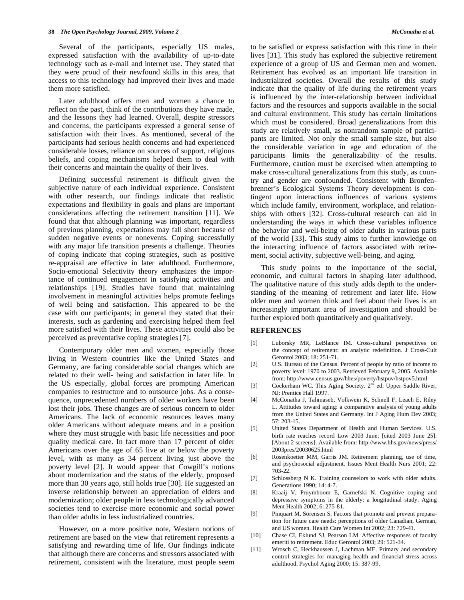Several of the participants, especially US males, expressed satisfaction with the availability of up-to-date technology such as e-mail and internet use. They stated that they were proud of their newfound skills in this area, that access to this technology had improved their lives and made them more satisfied.

 Later adulthood offers men and women a chance to reflect on the past, think of the contributions they have made, and the lessons they had learned. Overall, despite stressors and concerns, the participants expressed a general sense of satisfaction with their lives. As mentioned, several of the participants had serious health concerns and had experienced considerable losses, reliance on sources of support, religious beliefs, and coping mechanisms helped them to deal with their concerns and maintain the quality of their lives.

 Defining successful retirement is difficult given the subjective nature of each individual experience. Consistent with other research, our findings indicate that realistic expectations and flexibility in goals and plans are important considerations affecting the retirement transition [11]. We found that that although planning was important, regardless of previous planning, expectations may fall short because of sudden negative events or nonevents. Coping successfully with any major life transition presents a challenge. Theories of coping indicate that coping strategies, such as positive re-appraisal are effective in later adulthood. Furthermore, Socio-emotional Selectivity theory emphasizes the importance of continued engagement in satisfying activities and relationships [19]. Studies have found that maintaining involvement in meaningful activities helps promote feelings of well being and satisfaction. This appeared to be the case with our participants; in general they stated that their interests, such as gardening and exercising helped them feel more satisfied with their lives. These activities could also be perceived as preventative coping strategies [7].

 Contemporary older men and women, especially those living in Western countries like the United States and Germany, are facing considerable social changes which are related to their well- being and satisfaction in later life. In the US especially, global forces are prompting American companies to restructure and to outsource jobs. As a consequence, unprecedented numbers of older workers have been lost their jobs. These changes are of serious concern to older Americans. The lack of economic resources leaves many older Americans without adequate means and in a position where they must struggle with basic life necessities and poor quality medical care. In fact more than 17 percent of older Americans over the age of 65 live at or below the poverty level, with as many as 34 percent living just above the poverty level [2]. It would appear that Cowgill's notions about modernization and the status of the elderly, proposed more than 30 years ago, still holds true [30]. He suggested an inverse relationship between an appreciation of elders and modernization; older people in less technologically advanced societies tend to exercise more economic and social power than older adults in less industrialized countries.

 However, on a more positive note, Western notions of retirement are based on the view that retirement represents a satisfying and rewarding time of life. Our findings indicate that although there are concerns and stressors associated with retirement, consistent with the literature, most people seem

to be satisfied or express satisfaction with this time in their lives [31]. This study has explored the subjective retirement experience of a group of US and German men and women. Retirement has evolved as an important life transition in industrialized societies. Overall the results of this study indicate that the quality of life during the retirement years is influenced by the inter-relationship between individual factors and the resources and supports available in the social and cultural environment. This study has certain limitations which must be considered. Broad generalizations from this study are relatively small, as nonrandom sample of participants are limited. Not only the small sample size, but also the considerable variation in age and education of the participants limits the generalizability of the results. Furthermore, caution must be exercised when attempting to make cross-cultural generalizations from this study, as country and gender are confounded. Consistent with Bronfenbrenner's Ecological Systems Theory development is contingent upon interactions influences of various systems which include family, environment, workplace, and relationships with others [32]. Cross-cultural research can aid in understanding the ways in which these variables influence the behavior and well-being of older adults in various parts of the world [33]. This study aims to further knowledge on the interacting influence of factors associated with retirement, social activity, subjective well-being, and aging.

 This study points to the importance of the social, economic, and cultural factors in shaping later adulthood. The qualitative nature of this study adds depth to the understanding of the meaning of retirement and later life. How older men and women think and feel about their lives is an increasingly important area of investigation and should be further explored both quantitatively and qualitatively.

#### **REFERENCES**

- [1] Luborsky MR, LeBlance IM. Cross-cultural perspectives on the concept of retirement: an analytic redefinition. J Cross-Cult Gerontol 2003; 18: 251-71.
- [2] U.S. Bureau of the Census. Percent of people by ratio of income to poverty level: 1970 to 2003. Retrieved February 9, 2005. Available from: http://www.census.gov/hhes/poverty/hstpov/hstpov5.html
- [3] Cockerham WC. This Aging Society. 2<sup>nd</sup> ed. Upper Saddle River, NJ: Prentice Hall 1997.
- [4] McConatha J, Tahmaseb, Volkwein K, Schnell F, Leach E, Riley L. Attitudes toward aging: a comparative analysis of young adults from the United States and Germany. Int J Aging Hum Dev 2003; 57: 203-15.
- [5] United States Department of Health and Human Services. U.S. birth rate reaches record Low 2003 June; [cited 2003 June 25]. [About 2 screens]. Available from: http://www.hhs.gov/news/press/ 2003pres/20030625.html
- [6] Rosenkoetter MM, Garris JM. Retirement planning, use of time, and psychosocial adjustment. Issues Ment Health Nurs 2001; 22: 703-22.
- [7] Schlossberg N K. Training counselors to work with older adults. Generations 1990; 14: 4-7.
- [8] Kraaij V, Pruymboom E, Garnefski N. Cognitive coping and depressive symptoms in the elderly: a longitudinal study. Aging Ment Health 2002; 6: 275-81.
- [9] Pinquart M, Sörensen S. Factors that promote and prevent preparation for future care needs: perceptions of older Canadian, German, and US women. Health Care Women Int 2002; 23: 729-41.
- [10] Chase CI, Eklund SJ, Pearson LM. Affective responses of faculty emeriti to retirement. Educ Gerontol 2003; 29: 521-34.
- [11] Wrosch C, Heckhaussen J, Lachman ME. Primary and secondary control strategies for managing health and financial stress across adulthood. Psychol Aging 2000; 15: 387-99.